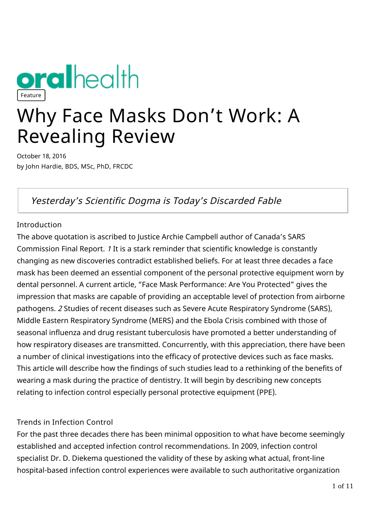

# Why Face Masks Don't Work: A Revealing Review

October 18, 2016 by John Hardie, BDS, MSc, PhD, FRCDC

# Yesterday's Scientific Dogma is Today's Discarded Fable

## **Introduction**

The above quotation is ascribed to Justice Archie Campbell author of Canada's SARS Commission Final Report. 1 It is a stark reminder that scientific knowledge is constantly changing as new discoveries contradict established beliefs. For at least three decades a face mask has been deemed an essential component of the personal protective equipment worn by dental personnel. A current article, "Face Mask Performance: Are You Protected" gives the impression that masks are capable of providing an acceptable level of protection from airborne pathogens. 2 Studies of recent diseases such as Severe Acute Respiratory Syndrome (SARS), Middle Eastern Respiratory Syndrome (MERS) and the Ebola Crisis combined with those of seasonal influenza and drug resistant tuberculosis have promoted a better understanding of how respiratory diseases are transmitted. Concurrently, with this appreciation, there have been a number of clinical investigations into the efficacy of protective devices such as face masks. This article will describe how the findings of such studies lead to a rethinking of the benefits of wearing a mask during the practice of dentistry. It will begin by describing new concepts relating to infection control especially personal protective equipment (PPE).

# Trends in Infection Control

For the past three decades there has been minimal opposition to what have become seemingly established and accepted infection control recommendations. In 2009, infection control specialist Dr. D. Diekema questioned the validity of these by asking what actual, front-line hospital-based infection control experiences were available to such authoritative organization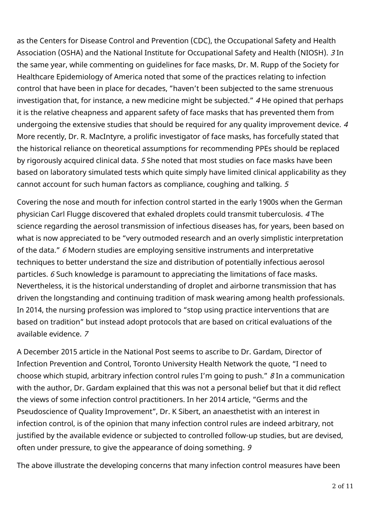as the Centers for Disease Control and Prevention (CDC), the Occupational Safety and Health Association (OSHA) and the National Institute for Occupational Safety and Health (NIOSH). 3 In the same year, while commenting on guidelines for face masks, Dr. M. Rupp of the Society for Healthcare Epidemiology of America noted that some of the practices relating to infection control that have been in place for decades, "haven't been subjected to the same strenuous investigation that, for instance, a new medicine might be subjected." 4 He opined that perhaps it is the relative cheapness and apparent safety of face masks that has prevented them from undergoing the extensive studies that should be required for any quality improvement device.  $4$ More recently, Dr. R. MacIntyre, a prolific investigator of face masks, has forcefully stated that the historical reliance on theoretical assumptions for recommending PPEs should be replaced by rigorously acquired clinical data. 5 She noted that most studies on face masks have been based on laboratory simulated tests which quite simply have limited clinical applicability as they cannot account for such human factors as compliance, coughing and talking. 5

Covering the nose and mouth for infection control started in the early 1900s when the German physician Carl Flugge discovered that exhaled droplets could transmit tuberculosis. 4 The science regarding the aerosol transmission of infectious diseases has, for years, been based on what is now appreciated to be "very outmoded research and an overly simplistic interpretation of the data." 6 Modern studies are employing sensitive instruments and interpretative techniques to better understand the size and distribution of potentially infectious aerosol particles. 6 Such knowledge is paramount to appreciating the limitations of face masks. Nevertheless, it is the historical understanding of droplet and airborne transmission that has driven the longstanding and continuing tradition of mask wearing among health professionals. In 2014, the nursing profession was implored to "stop using practice interventions that are based on tradition" but instead adopt protocols that are based on critical evaluations of the available evidence. 7

A December 2015 article in the National Post seems to ascribe to Dr. Gardam, Director of Infection Prevention and Control, Toronto University Health Network the quote, "I need to choose which stupid, arbitrary infection control rules I'm going to push." 8 In a communication with the author, Dr. Gardam explained that this was not a personal belief but that it did reflect the views of some infection control practitioners. In her 2014 article, "Germs and the Pseudoscience of Quality Improvement", Dr. K Sibert, an anaesthetist with an interest in infection control, is of the opinion that many infection control rules are indeed arbitrary, not justified by the available evidence or subjected to controlled follow-up studies, but are devised, often under pressure, to give the appearance of doing something. 9

The above illustrate the developing concerns that many infection control measures have been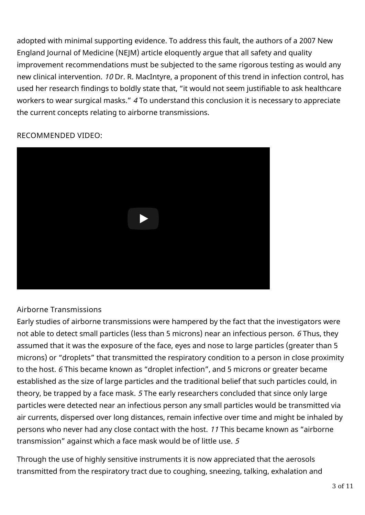adopted with minimal supporting evidence. To address this fault, the authors of a 2007 New England Journal of Medicine (NEJM) article eloquently argue that all safety and quality improvement recommendations must be subjected to the same rigorous testing as would any new clinical intervention. 10 Dr. R. MacIntyre, a proponent of this trend in infection control, has used her research findings to boldly state that, "it would not seem justifiable to ask healthcare workers to wear surgical masks." 4 To understand this conclusion it is necessary to appreciate the current concepts relating to airborne transmissions.



#### RECOMMENDED VIDEO:

#### Airborne Transmissions

Early studies of airborne transmissions were hampered by the fact that the investigators were not able to detect small particles (less than 5 microns) near an infectious person. 6 Thus, they assumed that it was the exposure of the face, eyes and nose to large particles (greater than 5 microns) or "droplets" that transmitted the respiratory condition to a person in close proximity to the host. 6 This became known as "droplet infection", and 5 microns or greater became established as the size of large particles and the traditional belief that such particles could, in theory, be trapped by a face mask. 5 The early researchers concluded that since only large particles were detected near an infectious person any small particles would be transmitted via air currents, dispersed over long distances, remain infective over time and might be inhaled by persons who never had any close contact with the host. 11 This became known as "airborne transmission" against which a face mask would be of little use. 5

Through the use of highly sensitive instruments it is now appreciated that the aerosols transmitted from the respiratory tract due to coughing, sneezing, talking, exhalation and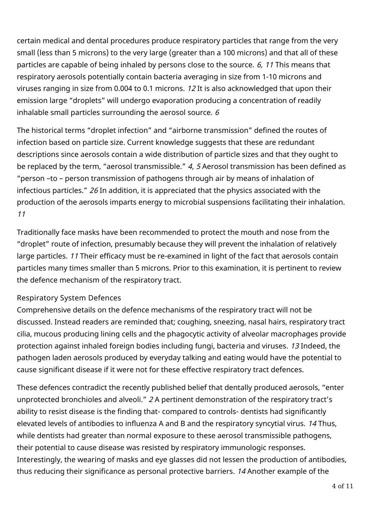certain medical and dental procedures produce respiratory particles that range from the very small (less than 5 microns) to the very large (greater than a 100 microns) and that all of these particles are capable of being inhaled by persons close to the source. 6, 11 This means that respiratory aerosols potentially contain bacteria averaging in size from 1-10 microns and viruses ranging in size from 0.004 to 0.1 microns. 12 It is also acknowledged that upon their emission large "droplets" will undergo evaporation producing a concentration of readily inhalable small particles surrounding the aerosol source.  $6$ 

The historical terms "droplet infection" and "airborne transmission" defined the routes of infection based on particle size. Current knowledge suggests that these are redundant descriptions since aerosols contain a wide distribution of particle sizes and that they ought to be replaced by the term, "aerosol transmissible." 4, 5 Aerosol transmission has been defined as "person –to – person transmission of pathogens through air by means of inhalation of infectious particles." 26 In addition, it is appreciated that the physics associated with the production of the aerosols imparts energy to microbial suspensions facilitating their inhalation. 11

Traditionally face masks have been recommended to protect the mouth and nose from the "droplet" route of infection, presumably because they will prevent the inhalation of relatively large particles. 11 Their efficacy must be re-examined in light of the fact that aerosols contain particles many times smaller than 5 microns. Prior to this examination, it is pertinent to review the defence mechanism of the respiratory tract.

# Respiratory System Defences

Comprehensive details on the defence mechanisms of the respiratory tract will not be discussed. Instead readers are reminded that; coughing, sneezing, nasal hairs, respiratory tract cilia, mucous producing lining cells and the phagocytic activity of alveolar macrophages provide protection against inhaled foreign bodies including fungi, bacteria and viruses. 13 Indeed, the pathogen laden aerosols produced by everyday talking and eating would have the potential to cause significant disease if it were not for these effective respiratory tract defences.

These defences contradict the recently published belief that dentally produced aerosols, "enter unprotected bronchioles and alveoli." 2 A pertinent demonstration of the respiratory tract's ability to resist disease is the finding that- compared to controls- dentists had significantly elevated levels of antibodies to influenza A and B and the respiratory syncytial virus. 14 Thus, while dentists had greater than normal exposure to these aerosol transmissible pathogens, their potential to cause disease was resisted by respiratory immunologic responses. Interestingly, the wearing of masks and eye glasses did not lessen the production of antibodies, thus reducing their significance as personal protective barriers. 14 Another example of the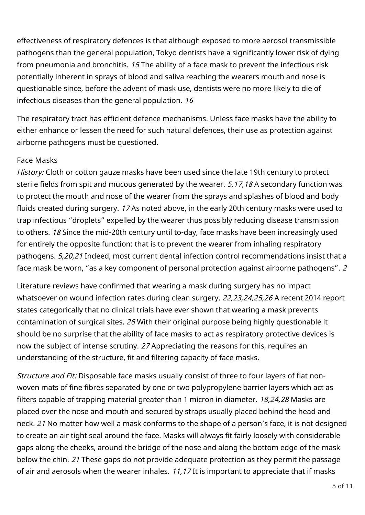effectiveness of respiratory defences is that although exposed to more aerosol transmissible pathogens than the general population, Tokyo dentists have a significantly lower risk of dying from pneumonia and bronchitis. 15 The ability of a face mask to prevent the infectious risk potentially inherent in sprays of blood and saliva reaching the wearers mouth and nose is questionable since, before the advent of mask use, dentists were no more likely to die of infectious diseases than the general population. 16

The respiratory tract has efficient defence mechanisms. Unless face masks have the ability to either enhance or lessen the need for such natural defences, their use as protection against airborne pathogens must be questioned.

## Face Masks

History: Cloth or cotton gauze masks have been used since the late 19th century to protect sterile fields from spit and mucous generated by the wearer. 5,17,18 A secondary function was to protect the mouth and nose of the wearer from the sprays and splashes of blood and body fluids created during surgery. 17 As noted above, in the early 20th century masks were used to trap infectious "droplets" expelled by the wearer thus possibly reducing disease transmission to others. 18 Since the mid-20th century until to-day, face masks have been increasingly used for entirely the opposite function: that is to prevent the wearer from inhaling respiratory pathogens. 5,20,21 Indeed, most current dental infection control recommendations insist that a face mask be worn, "as a key component of personal protection against airborne pathogens". 2

Literature reviews have confirmed that wearing a mask during surgery has no impact whatsoever on wound infection rates during clean surgery. 22,23,24,25,26 A recent 2014 report states categorically that no clinical trials have ever shown that wearing a mask prevents contamination of surgical sites. 26 With their original purpose being highly questionable it should be no surprise that the ability of face masks to act as respiratory protective devices is now the subject of intense scrutiny. 27 Appreciating the reasons for this, requires an understanding of the structure, fit and filtering capacity of face masks.

Structure and Fit: Disposable face masks usually consist of three to four layers of flat nonwoven mats of fine fibres separated by one or two polypropylene barrier layers which act as filters capable of trapping material greater than 1 micron in diameter. 18,24,28 Masks are placed over the nose and mouth and secured by straps usually placed behind the head and neck. 21 No matter how well a mask conforms to the shape of a person's face, it is not designed to create an air tight seal around the face. Masks will always fit fairly loosely with considerable gaps along the cheeks, around the bridge of the nose and along the bottom edge of the mask below the chin. 21 These gaps do not provide adequate protection as they permit the passage of air and aerosols when the wearer inhales. 11,17 It is important to appreciate that if masks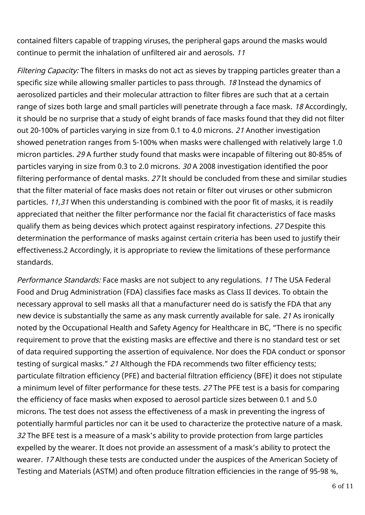contained filters capable of trapping viruses, the peripheral gaps around the masks would continue to permit the inhalation of unfiltered air and aerosols. 11

Filtering Capacity: The filters in masks do not act as sieves by trapping particles greater than a specific size while allowing smaller particles to pass through. 18 Instead the dynamics of aerosolized particles and their molecular attraction to filter fibres are such that at a certain range of sizes both large and small particles will penetrate through a face mask. 18 Accordingly, it should be no surprise that a study of eight brands of face masks found that they did not filter out 20-100% of particles varying in size from 0.1 to 4.0 microns. 21 Another investigation showed penetration ranges from 5-100% when masks were challenged with relatively large 1.0 micron particles. 29 A further study found that masks were incapable of filtering out 80-85% of particles varying in size from 0.3 to 2.0 microns. 30 A 2008 investigation identified the poor filtering performance of dental masks. 27 It should be concluded from these and similar studies that the filter material of face masks does not retain or filter out viruses or other submicron particles. 11,31 When this understanding is combined with the poor fit of masks, it is readily appreciated that neither the filter performance nor the facial fit characteristics of face masks qualify them as being devices which protect against respiratory infections. 27 Despite this determination the performance of masks against certain criteria has been used to justify their effectiveness.2 Accordingly, it is appropriate to review the limitations of these performance standards.

Performance Standards: Face masks are not subject to any regulations. 11 The USA Federal Food and Drug Administration (FDA) classifies face masks as Class II devices. To obtain the necessary approval to sell masks all that a manufacturer need do is satisfy the FDA that any new device is substantially the same as any mask currently available for sale. 21 As ironically noted by the Occupational Health and Safety Agency for Healthcare in BC, "There is no specific requirement to prove that the existing masks are effective and there is no standard test or set of data required supporting the assertion of equivalence. Nor does the FDA conduct or sponsor testing of surgical masks." 21 Although the FDA recommends two filter efficiency tests; particulate filtration efficiency (PFE) and bacterial filtration efficiency (BFE) it does not stipulate a minimum level of filter performance for these tests. 27 The PFE test is a basis for comparing the efficiency of face masks when exposed to aerosol particle sizes between 0.1 and 5.0 microns. The test does not assess the effectiveness of a mask in preventing the ingress of potentially harmful particles nor can it be used to characterize the protective nature of a mask. 32 The BFE test is a measure of a mask's ability to provide protection from large particles expelled by the wearer. It does not provide an assessment of a mask's ability to protect the wearer. 17 Although these tests are conducted under the auspices of the American Society of Testing and Materials (ASTM) and often produce filtration efficiencies in the range of 95-98 %,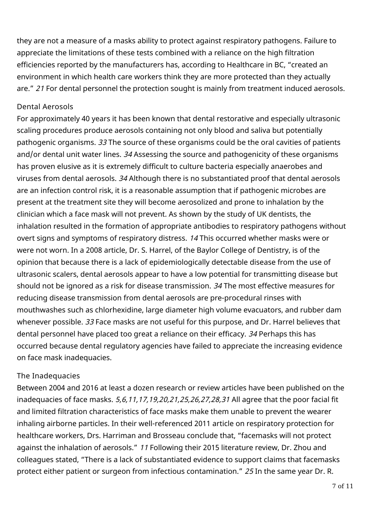they are not a measure of a masks ability to protect against respiratory pathogens. Failure to appreciate the limitations of these tests combined with a reliance on the high filtration efficiencies reported by the manufacturers has, according to Healthcare in BC, "created an environment in which health care workers think they are more protected than they actually are." 21 For dental personnel the protection sought is mainly from treatment induced aerosols.

#### Dental Aerosols

For approximately 40 years it has been known that dental restorative and especially ultrasonic scaling procedures produce aerosols containing not only blood and saliva but potentially pathogenic organisms. 33 The source of these organisms could be the oral cavities of patients and/or dental unit water lines. 34 Assessing the source and pathogenicity of these organisms has proven elusive as it is extremely difficult to culture bacteria especially anaerobes and viruses from dental aerosols. 34 Although there is no substantiated proof that dental aerosols are an infection control risk, it is a reasonable assumption that if pathogenic microbes are present at the treatment site they will become aerosolized and prone to inhalation by the clinician which a face mask will not prevent. As shown by the study of UK dentists, the inhalation resulted in the formation of appropriate antibodies to respiratory pathogens without overt signs and symptoms of respiratory distress. 14 This occurred whether masks were or were not worn. In a 2008 article, Dr. S. Harrel, of the Baylor College of Dentistry, is of the opinion that because there is a lack of epidemiologically detectable disease from the use of ultrasonic scalers, dental aerosols appear to have a low potential for transmitting disease but should not be ignored as a risk for disease transmission. 34 The most effective measures for reducing disease transmission from dental aerosols are pre-procedural rinses with mouthwashes such as chlorhexidine, large diameter high volume evacuators, and rubber dam whenever possible. 33 Face masks are not useful for this purpose, and Dr. Harrel believes that dental personnel have placed too great a reliance on their efficacy. 34 Perhaps this has occurred because dental regulatory agencies have failed to appreciate the increasing evidence on face mask inadequacies.

#### The Inadequacies

Between 2004 and 2016 at least a dozen research or review articles have been published on the inadequacies of face masks. 5,6,11,17,19,20,21,25,26,27,28,31 All agree that the poor facial fit and limited filtration characteristics of face masks make them unable to prevent the wearer inhaling airborne particles. In their well-referenced 2011 article on respiratory protection for healthcare workers, Drs. Harriman and Brosseau conclude that, "facemasks will not protect against the inhalation of aerosols." 11 Following their 2015 literature review, Dr. Zhou and colleagues stated, "There is a lack of substantiated evidence to support claims that facemasks protect either patient or surgeon from infectious contamination." 25 In the same year Dr. R.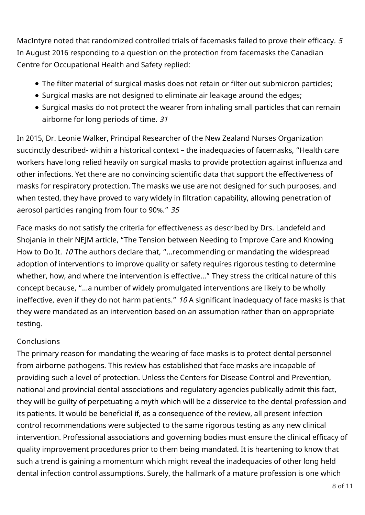MacIntyre noted that randomized controlled trials of facemasks failed to prove their efficacy. 5 In August 2016 responding to a question on the protection from facemasks the Canadian Centre for Occupational Health and Safety replied:

- The filter material of surgical masks does not retain or filter out submicron particles;
- Surgical masks are not designed to eliminate air leakage around the edges;
- Surgical masks do not protect the wearer from inhaling small particles that can remain airborne for long periods of time. 31

In 2015, Dr. Leonie Walker, Principal Researcher of the New Zealand Nurses Organization succinctly described- within a historical context – the inadequacies of facemasks, "Health care workers have long relied heavily on surgical masks to provide protection against influenza and other infections. Yet there are no convincing scientific data that support the effectiveness of masks for respiratory protection. The masks we use are not designed for such purposes, and when tested, they have proved to vary widely in filtration capability, allowing penetration of aerosol particles ranging from four to 90%." 35

Face masks do not satisfy the criteria for effectiveness as described by Drs. Landefeld and Shojania in their NEJM article, "The Tension between Needing to Improve Care and Knowing How to Do It. 10 The authors declare that, "…recommending or mandating the widespread adoption of interventions to improve quality or safety requires rigorous testing to determine whether, how, and where the intervention is effective…" They stress the critical nature of this concept because, "…a number of widely promulgated interventions are likely to be wholly ineffective, even if they do not harm patients." 10 A significant inadequacy of face masks is that they were mandated as an intervention based on an assumption rather than on appropriate testing.

#### Conclusions

The primary reason for mandating the wearing of face masks is to protect dental personnel from airborne pathogens. This review has established that face masks are incapable of providing such a level of protection. Unless the Centers for Disease Control and Prevention, national and provincial dental associations and regulatory agencies publically admit this fact, they will be guilty of perpetuating a myth which will be a disservice to the dental profession and its patients. It would be beneficial if, as a consequence of the review, all present infection control recommendations were subjected to the same rigorous testing as any new clinical intervention. Professional associations and governing bodies must ensure the clinical efficacy of quality improvement procedures prior to them being mandated. It is heartening to know that such a trend is gaining a momentum which might reveal the inadequacies of other long held dental infection control assumptions. Surely, the hallmark of a mature profession is one which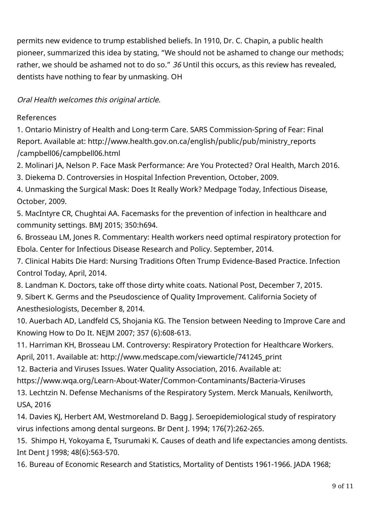permits new evidence to trump established beliefs. In 1910, Dr. C. Chapin, a public health pioneer, summarized this idea by stating, "We should not be ashamed to change our methods; rather, we should be ashamed not to do so." 36 Until this occurs, as this review has revealed, dentists have nothing to fear by unmasking. OH

Oral Health welcomes this original article.

# References

1. Ontario Ministry of Health and Long-term Care. SARS Commission-Spring of Fear: Final Report. Available at: http://www.health.gov.on.ca/english/public/pub/ministry\_reports /campbell06/campbell06.html

2. Molinari JA, Nelson P. Face Mask Performance: Are You Protected? Oral Health, March 2016.

3. Diekema D. Controversies in Hospital Infection Prevention, October, 2009.

4. Unmasking the Surgical Mask: Does It Really Work? Medpage Today, Infectious Disease, October, 2009.

5. MacIntyre CR, Chughtai AA. Facemasks for the prevention of infection in healthcare and community settings. BMJ 2015; 350:h694.

6. Brosseau LM, Jones R. Commentary: Health workers need optimal respiratory protection for Ebola. Center for Infectious Disease Research and Policy. September, 2014.

7. Clinical Habits Die Hard: Nursing Traditions Often Trump Evidence-Based Practice. Infection Control Today, April, 2014.

8. Landman K. Doctors, take off those dirty white coats. National Post, December 7, 2015.

9. Sibert K. Germs and the Pseudoscience of Quality Improvement. California Society of Anesthesiologists, December 8, 2014.

10. Auerbach AD, Landfeld CS, Shojania KG. The Tension between Needing to Improve Care and Knowing How to Do It. NEJM 2007; 357 (6):608-613.

11. Harriman KH, Brosseau LM. Controversy: Respiratory Protection for Healthcare Workers.

April, 2011. Available at: http://www.medscape.com/viewarticle/741245\_print

12. Bacteria and Viruses Issues. Water Quality Association, 2016. Available at:

https://www.wqa.org/Learn-About-Water/Common-Contaminants/Bacteria-Viruses

13. Lechtzin N. Defense Mechanisms of the Respiratory System. Merck Manuals, Kenilworth, USA, 2016

14. Davies KJ, Herbert AM, Westmoreland D. Bagg J. Seroepidemiological study of respiratory virus infections among dental surgeons. Br Dent J. 1994; 176(7):262-265.

15. Shimpo H, Yokoyama E, Tsurumaki K. Causes of death and life expectancies among dentists. Int Dent J 1998; 48(6):563-570.

16. Bureau of Economic Research and Statistics, Mortality of Dentists 1961-1966. JADA 1968;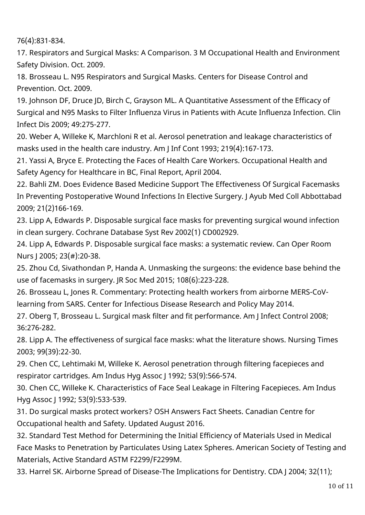76(4):831-834.

17. Respirators and Surgical Masks: A Comparison. 3 M Occupational Health and Environment Safety Division. Oct. 2009.

18. Brosseau L. N95 Respirators and Surgical Masks. Centers for Disease Control and Prevention. Oct. 2009.

19. Johnson DF, Druce JD, Birch C, Grayson ML. A Quantitative Assessment of the Efficacy of Surgical and N95 Masks to Filter Influenza Virus in Patients with Acute Influenza Infection. Clin Infect Dis 2009; 49:275-277.

20. Weber A, Willeke K, Marchloni R et al. Aerosol penetration and leakage characteristics of masks used in the health care industry. Am J Inf Cont 1993; 219(4):167-173.

21. Yassi A, Bryce E. Protecting the Faces of Health Care Workers. Occupational Health and Safety Agency for Healthcare in BC, Final Report, April 2004.

22. Bahli ZM. Does Evidence Based Medicine Support The Effectiveness Of Surgical Facemasks In Preventing Postoperative Wound Infections In Elective Surgery. J Ayub Med Coll Abbottabad 2009; 21(2)166-169.

23. Lipp A, Edwards P. Disposable surgical face masks for preventing surgical wound infection in clean surgery. Cochrane Database Syst Rev 2002(1) CD002929.

24. Lipp A, Edwards P. Disposable surgical face masks: a systematic review. Can Oper Room Nurs J 2005; 23(#):20-38.

25. Zhou Cd, Sivathondan P, Handa A. Unmasking the surgeons: the evidence base behind the use of facemasks in surgery. JR Soc Med 2015; 108(6):223-228.

26. Brosseau L, Jones R. Commentary: Protecting health workers from airborne MERS-CoVlearning from SARS. Center for Infectious Disease Research and Policy May 2014.

27. Oberg T, Brosseau L. Surgical mask filter and fit performance. Am J Infect Control 2008; 36:276-282.

28. Lipp A. The effectiveness of surgical face masks: what the literature shows. Nursing Times 2003; 99(39):22-30.

29. Chen CC, Lehtimaki M, Willeke K. Aerosol penetration through filtering facepieces and respirator cartridges. Am Indus Hyg Assoc J 1992; 53(9):566-574.

30. Chen CC, Willeke K. Characteristics of Face Seal Leakage in Filtering Facepieces. Am Indus Hyg Assoc J 1992; 53(9):533-539.

31. Do surgical masks protect workers? OSH Answers Fact Sheets. Canadian Centre for Occupational health and Safety. Updated August 2016.

32. Standard Test Method for Determining the Initial Efficiency of Materials Used in Medical Face Masks to Penetration by Particulates Using Latex Spheres. American Society of Testing and Materials, Active Standard ASTM F2299/F2299M.

33. Harrel SK. Airborne Spread of Disease-The Implications for Dentistry. CDA J 2004; 32(11);